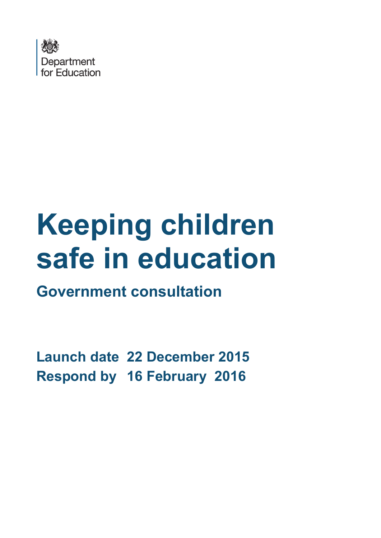

# **Keeping children safe in education**

**Government consultation**

**Launch date 22 December 2015 Respond by 16 February 2016**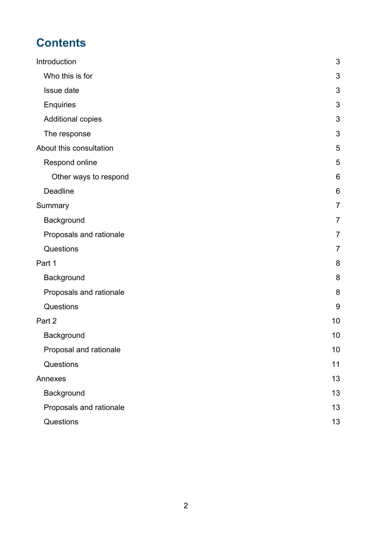# **Contents**

| Introduction            | 3               |
|-------------------------|-----------------|
| Who this is for         | 3               |
| Issue date              | 3               |
| <b>Enquiries</b>        | 3               |
| Additional copies       | 3               |
| The response            | 3               |
| About this consultation | 5               |
| Respond online          | 5               |
| Other ways to respond   | $6\phantom{1}6$ |
| Deadline                | $6\phantom{1}6$ |
| Summary                 | $\overline{7}$  |
| Background              | $\overline{7}$  |
| Proposals and rationale | $\overline{7}$  |
| Questions               | $\overline{7}$  |
| Part 1                  | 8               |
| Background              | 8               |
| Proposals and rationale | 8               |
| Questions               | 9               |
| Part 2                  | 10              |
| Background              | 10              |
| Proposal and rationale  | 10              |
| Questions               | 11              |
| Annexes                 | 13              |
| Background              | 13              |
| Proposals and rationale | 13              |
| Questions               | 13              |
|                         |                 |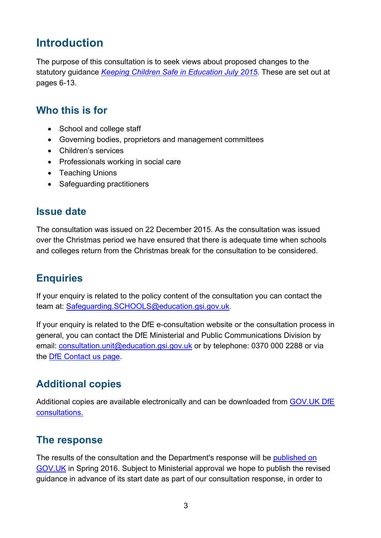# <span id="page-2-0"></span>**Introduction**

The purpose of this consultation is to seek views about proposed changes to the statutory guidance *[Keeping Children Safe in Education July 2015](https://www.gov.uk/government/publications/keeping-children-safe-in-education--2)*. These are set out at pages 6-13.

#### <span id="page-2-1"></span>**Who this is for**

- School and college staff
- Governing bodies, proprietors and management committees
- Children's services
- Professionals working in social care
- Teaching Unions
- Safeguarding practitioners

#### <span id="page-2-2"></span>**Issue date**

The consultation was issued on 22 December 2015. As the consultation was issued over the Christmas period we have ensured that there is adequate time when schools and colleges return from the Christmas break for the consultation to be considered.

#### <span id="page-2-3"></span>**Enquiries**

If your enquiry is related to the policy content of the consultation you can contact the team at: [Safeguarding.SCHOOLS@education.gsi.gov.uk.](mailto:Safeguarding.SCHOOLS@education.gsi.gov.uk)

If your enquiry is related to the DfE e-consultation website or the consultation process in general, you can contact the DfE Ministerial and Public Communications Division by email: [consultation.unit@education.gsi.gov.uk](mailto:consultation.unit@education.gsi.gov.uk) or by telephone: 0370 000 2288 or via the [DfE Contact us page.](https://www.education.gov.uk/help/contactus)

#### <span id="page-2-4"></span>**Additional copies**

Additional copies are available electronically and can be downloaded from [GOV.UK DfE](https://www.gov.uk/government/publications?keywords=&publication_filter_option=consultations&topics%5B%5D=all&departments%5B%5D=department-for-education&official_document_status=all&world_locations%5B%5D=all&from_date=&to_date=&commit=Refresh+results)  [consultations.](https://www.gov.uk/government/publications?keywords=&publication_filter_option=consultations&topics%5B%5D=all&departments%5B%5D=department-for-education&official_document_status=all&world_locations%5B%5D=all&from_date=&to_date=&commit=Refresh+results)

#### <span id="page-2-5"></span>**The response**

The results of the consultation and the Department's response will be [published on](https://www.gov.uk/government/publications?departments%5B%5D=department-for-education&publication_filter_option=consultations)  [GOV.UK](https://www.gov.uk/government/publications?departments%5B%5D=department-for-education&publication_filter_option=consultations) in Spring 2016. Subject to Ministerial approval we hope to publish the revised guidance in advance of its start date as part of our consultation response, in order to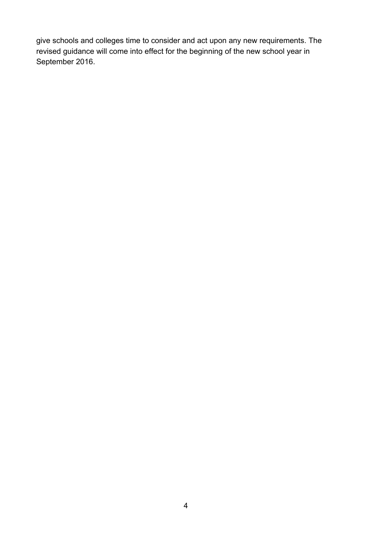give schools and colleges time to consider and act upon any new requirements. The revised guidance will come into effect for the beginning of the new school year in September 2016.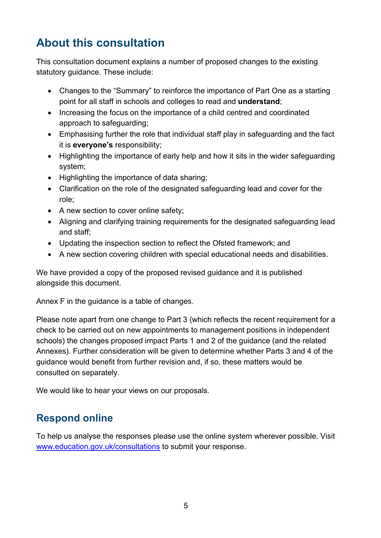# <span id="page-4-0"></span>**About this consultation**

This consultation document explains a number of proposed changes to the existing statutory guidance. These include:

- Changes to the "Summary" to reinforce the importance of Part One as a starting point for all staff in schools and colleges to read and **understand**;
- Increasing the focus on the importance of a child centred and coordinated approach to safeguarding;
- Emphasising further the role that individual staff play in safeguarding and the fact it is **everyone's** responsibility;
- Highlighting the importance of early help and how it sits in the wider safeguarding system;
- Highlighting the importance of data sharing;
- Clarification on the role of the designated safeguarding lead and cover for the role;
- A new section to cover online safety;
- Aligning and clarifying training requirements for the designated safeguarding lead and staff;
- Updating the inspection section to reflect the Ofsted framework; and
- A new section covering children with special educational needs and disabilities.

We have provided a copy of the proposed revised quidance and it is published alongside this document.

Annex F in the guidance is a table of changes.

Please note apart from one change to Part 3 (which reflects the recent requirement for a check to be carried out on new appointments to management positions in independent schools) the changes proposed impact Parts 1 and 2 of the guidance (and the related Annexes). Further consideration will be given to determine whether Parts 3 and 4 of the guidance would benefit from further revision and, if so, these matters would be consulted on separately.

We would like to hear your views on our proposals.

## <span id="page-4-1"></span>**Respond online**

To help us analyse the responses please use the online system wherever possible. Visit [www.education.gov.uk/consultations](http://www.education.gov.uk/consultations) to submit your response.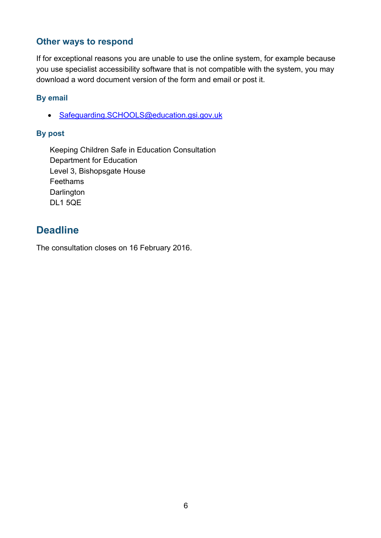#### <span id="page-5-0"></span>**Other ways to respond**

If for exceptional reasons you are unable to use the online system, for example because you use specialist accessibility software that is not compatible with the system, you may download a word document version of the form and email or post it.

#### **By email**

• Safeguarding.SCHOOLS@education.gsi.gov.uk

#### **By post**

Keeping Children Safe in Education Consultation Department for Education Level 3, Bishopsgate House Feethams **Darlington** DL1 5QE

#### <span id="page-5-1"></span>**Deadline**

The consultation closes on 16 February 2016.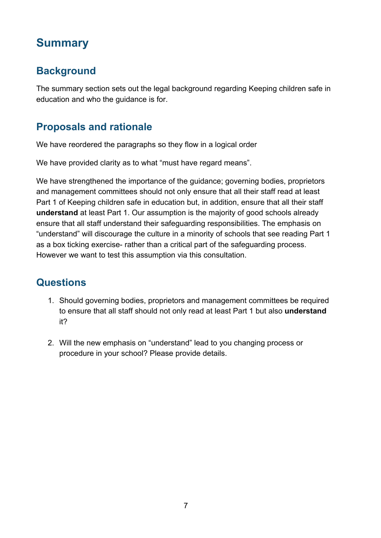# <span id="page-6-0"></span>**Summary**

## <span id="page-6-1"></span>**Background**

The summary section sets out the legal background regarding Keeping children safe in education and who the guidance is for.

### <span id="page-6-2"></span>**Proposals and rationale**

We have reordered the paragraphs so they flow in a logical order

We have provided clarity as to what "must have regard means".

We have strengthened the importance of the guidance; governing bodies, proprietors and management committees should not only ensure that all their staff read at least Part 1 of Keeping children safe in education but, in addition, ensure that all their staff **understand** at least Part 1. Our assumption is the majority of good schools already ensure that all staff understand their safeguarding responsibilities. The emphasis on "understand" will discourage the culture in a minority of schools that see reading Part 1 as a box ticking exercise- rather than a critical part of the safeguarding process. However we want to test this assumption via this consultation.

## <span id="page-6-3"></span>**Questions**

- 1. Should governing bodies, proprietors and management committees be required to ensure that all staff should not only read at least Part 1 but also **understand** it?
- 2. Will the new emphasis on "understand" lead to you changing process or procedure in your school? Please provide details.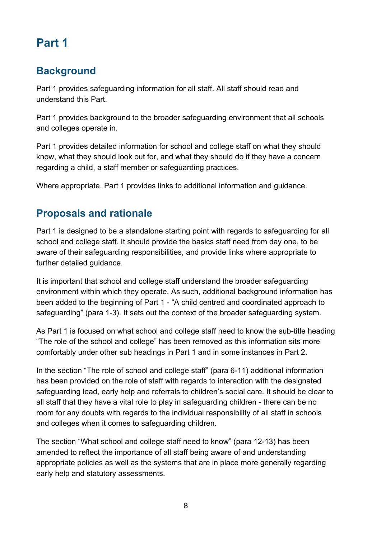# <span id="page-7-0"></span>**Part 1**

#### <span id="page-7-1"></span>**Background**

Part 1 provides safeguarding information for all staff. All staff should read and understand this Part.

Part 1 provides background to the broader safeguarding environment that all schools and colleges operate in.

Part 1 provides detailed information for school and college staff on what they should know, what they should look out for, and what they should do if they have a concern regarding a child, a staff member or safeguarding practices.

Where appropriate, Part 1 provides links to additional information and guidance.

#### <span id="page-7-2"></span>**Proposals and rationale**

Part 1 is designed to be a standalone starting point with regards to safeguarding for all school and college staff. It should provide the basics staff need from day one, to be aware of their safeguarding responsibilities, and provide links where appropriate to further detailed guidance.

It is important that school and college staff understand the broader safeguarding environment within which they operate. As such, additional background information has been added to the beginning of Part 1 - "A child centred and coordinated approach to safeguarding" (para 1-3). It sets out the context of the broader safeguarding system.

As Part 1 is focused on what school and college staff need to know the sub-title heading "The role of the school and college" has been removed as this information sits more comfortably under other sub headings in Part 1 and in some instances in Part 2.

In the section "The role of school and college staff" (para 6-11) additional information has been provided on the role of staff with regards to interaction with the designated safeguarding lead, early help and referrals to children's social care. It should be clear to all staff that they have a vital role to play in safeguarding children - there can be no room for any doubts with regards to the individual responsibility of all staff in schools and colleges when it comes to safeguarding children.

The section "What school and college staff need to know" (para 12-13) has been amended to reflect the importance of all staff being aware of and understanding appropriate policies as well as the systems that are in place more generally regarding early help and statutory assessments.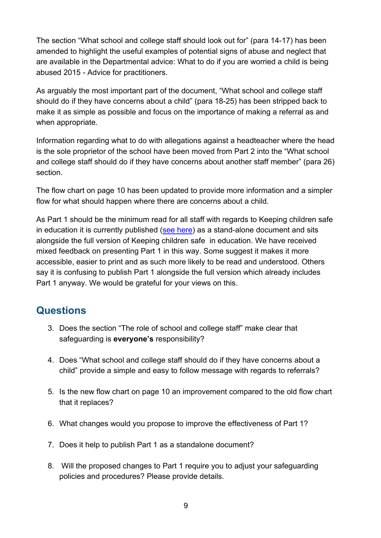The section "What school and college staff should look out for" (para 14-17) has been amended to highlight the useful examples of potential signs of abuse and neglect that are available in the Departmental advice: What to do if you are worried a child is being abused 2015 - Advice for practitioners.

As arguably the most important part of the document, "What school and college staff should do if they have concerns about a child" (para 18-25) has been stripped back to make it as simple as possible and focus on the importance of making a referral as and when appropriate.

Information regarding what to do with allegations against a headteacher where the head is the sole proprietor of the school have been moved from Part 2 into the "What school and college staff should do if they have concerns about another staff member" (para 26) section.

The flow chart on page 10 has been updated to provide more information and a simpler flow for what should happen where there are concerns about a child.

As Part 1 should be the minimum read for all staff with regards to Keeping children safe in education it is currently published [\(see here\)](https://www.gov.uk/government/publications/keeping-children-safe-in-education--2) as a stand-alone document and sits alongside the full version of Keeping children safe in education. We have received mixed feedback on presenting Part 1 in this way. Some suggest it makes it more accessible, easier to print and as such more likely to be read and understood. Others say it is confusing to publish Part 1 alongside the full version which already includes Part 1 anyway. We would be grateful for your views on this.

#### <span id="page-8-0"></span>**Questions**

- 3. Does the section "The role of school and college staff" make clear that safeguarding is **everyone's** responsibility?
- 4. Does "What school and college staff should do if they have concerns about a child" provide a simple and easy to follow message with regards to referrals?
- 5. Is the new flow chart on page 10 an improvement compared to the old flow chart that it replaces?
- 6. What changes would you propose to improve the effectiveness of Part 1?
- 7. Does it help to publish Part 1 as a standalone document?
- 8. Will the proposed changes to Part 1 require you to adjust your safeguarding policies and procedures? Please provide details.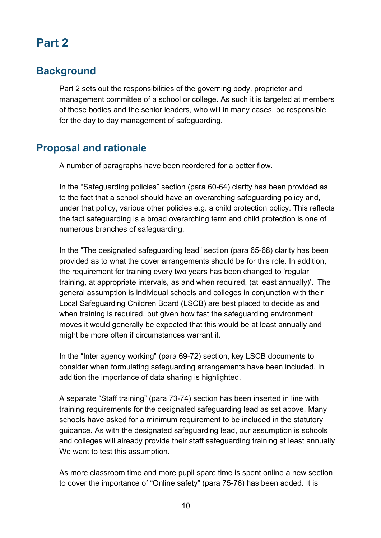## <span id="page-9-0"></span>**Part 2**

#### <span id="page-9-1"></span>**Background**

Part 2 sets out the responsibilities of the governing body, proprietor and management committee of a school or college. As such it is targeted at members of these bodies and the senior leaders, who will in many cases, be responsible for the day to day management of safeguarding.

#### <span id="page-9-2"></span>**Proposal and rationale**

A number of paragraphs have been reordered for a better flow.

In the "Safeguarding policies" section (para 60-64) clarity has been provided as to the fact that a school should have an overarching safeguarding policy and, under that policy, various other policies e.g. a child protection policy. This reflects the fact safeguarding is a broad overarching term and child protection is one of numerous branches of safeguarding.

In the "The designated safeguarding lead" section (para 65-68) clarity has been provided as to what the cover arrangements should be for this role. In addition, the requirement for training every two years has been changed to 'regular training, at appropriate intervals, as and when required, (at least annually)'. The general assumption is individual schools and colleges in conjunction with their Local Safeguarding Children Board (LSCB) are best placed to decide as and when training is required, but given how fast the safeguarding environment moves it would generally be expected that this would be at least annually and might be more often if circumstances warrant it.

In the "Inter agency working" (para 69-72) section, key LSCB documents to consider when formulating safeguarding arrangements have been included. In addition the importance of data sharing is highlighted.

A separate "Staff training" (para 73-74) section has been inserted in line with training requirements for the designated safeguarding lead as set above. Many schools have asked for a minimum requirement to be included in the statutory guidance. As with the designated safeguarding lead, our assumption is schools and colleges will already provide their staff safeguarding training at least annually We want to test this assumption.

As more classroom time and more pupil spare time is spent online a new section to cover the importance of "Online safety" (para 75-76) has been added. It is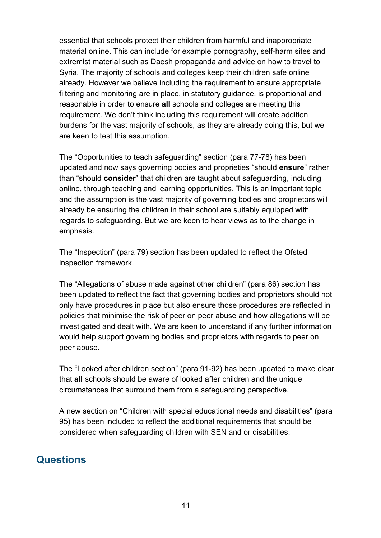essential that schools protect their children from harmful and inappropriate material online. This can include for example pornography, self-harm sites and extremist material such as Daesh propaganda and advice on how to travel to Syria. The majority of schools and colleges keep their children safe online already. However we believe including the requirement to ensure appropriate filtering and monitoring are in place, in statutory guidance, is proportional and reasonable in order to ensure **all** schools and colleges are meeting this requirement. We don't think including this requirement will create addition burdens for the vast majority of schools, as they are already doing this, but we are keen to test this assumption.

The "Opportunities to teach safeguarding" section (para 77-78) has been updated and now says governing bodies and proprieties "should **ensure**" rather than "should **consider**" that children are taught about safeguarding, including online, through teaching and learning opportunities. This is an important topic and the assumption is the vast majority of governing bodies and proprietors will already be ensuring the children in their school are suitably equipped with regards to safeguarding. But we are keen to hear views as to the change in emphasis.

The "Inspection" (para 79) section has been updated to reflect the Ofsted inspection framework.

The "Allegations of abuse made against other children" (para 86) section has been updated to reflect the fact that governing bodies and proprietors should not only have procedures in place but also ensure those procedures are reflected in policies that minimise the risk of peer on peer abuse and how allegations will be investigated and dealt with. We are keen to understand if any further information would help support governing bodies and proprietors with regards to peer on peer abuse.

The "Looked after children section" (para 91-92) has been updated to make clear that **all** schools should be aware of looked after children and the unique circumstances that surround them from a safeguarding perspective.

A new section on "Children with special educational needs and disabilities" (para 95) has been included to reflect the additional requirements that should be considered when safeguarding children with SEN and or disabilities.

#### <span id="page-10-0"></span>**Questions**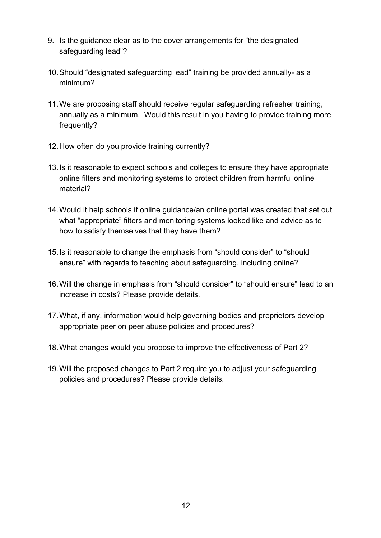- 9. Is the guidance clear as to the cover arrangements for "the designated safeguarding lead"?
- 10.Should "designated safeguarding lead" training be provided annually- as a minimum?
- 11.We are proposing staff should receive regular safeguarding refresher training, annually as a minimum. Would this result in you having to provide training more frequently?
- 12.How often do you provide training currently?
- 13.Is it reasonable to expect schools and colleges to ensure they have appropriate online filters and monitoring systems to protect children from harmful online material?
- 14.Would it help schools if online guidance/an online portal was created that set out what "appropriate" filters and monitoring systems looked like and advice as to how to satisfy themselves that they have them?
- 15.Is it reasonable to change the emphasis from "should consider" to "should ensure" with regards to teaching about safeguarding, including online?
- 16.Will the change in emphasis from "should consider" to "should ensure" lead to an increase in costs? Please provide details.
- 17.What, if any, information would help governing bodies and proprietors develop appropriate peer on peer abuse policies and procedures?
- 18.What changes would you propose to improve the effectiveness of Part 2?
- 19.Will the proposed changes to Part 2 require you to adjust your safeguarding policies and procedures? Please provide details.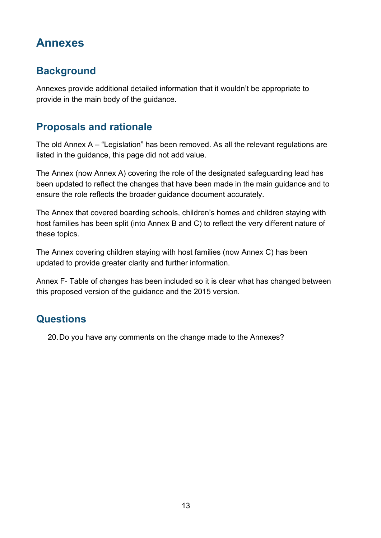# <span id="page-12-0"></span>**Annexes**

## <span id="page-12-1"></span>**Background**

Annexes provide additional detailed information that it wouldn't be appropriate to provide in the main body of the guidance.

#### <span id="page-12-2"></span>**Proposals and rationale**

The old Annex A – "Legislation" has been removed. As all the relevant regulations are listed in the guidance, this page did not add value.

The Annex (now Annex A) covering the role of the designated safeguarding lead has been updated to reflect the changes that have been made in the main guidance and to ensure the role reflects the broader guidance document accurately.

The Annex that covered boarding schools, children's homes and children staying with host families has been split (into Annex B and C) to reflect the very different nature of these topics.

The Annex covering children staying with host families (now Annex C) has been updated to provide greater clarity and further information.

Annex F- Table of changes has been included so it is clear what has changed between this proposed version of the guidance and the 2015 version.

#### <span id="page-12-3"></span>**Questions**

20.Do you have any comments on the change made to the Annexes?